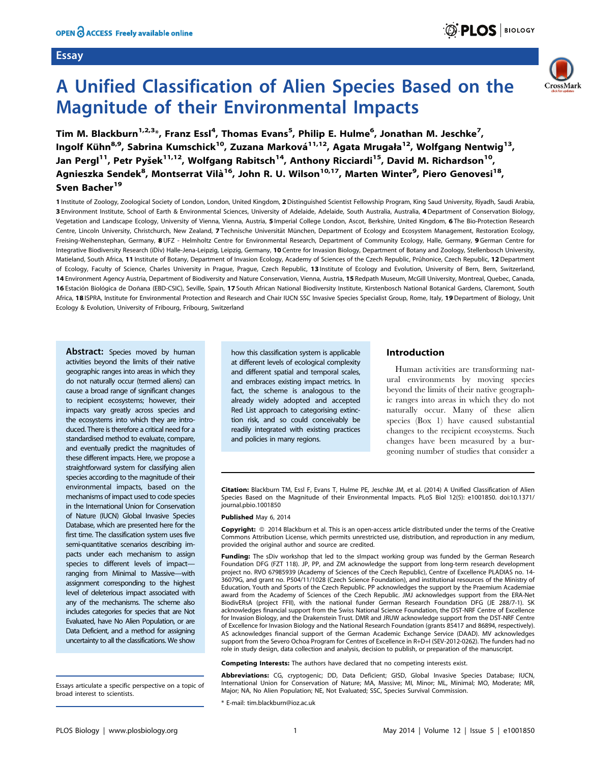



# A Unified Classification of Alien Species Based on the Magnitude of their Environmental Impacts

Tim M. Blackburn<sup>1,2,3</sup>\*, Franz Essl<sup>4</sup>, Thomas Evans<sup>5</sup>, Philip E. Hulme<sup>6</sup>, Jonathan M. Jeschke<sup>7</sup>, Ingolf Kühn<sup>8,9</sup>, Sabrina Kumschick<sup>10</sup>, Zuzana Marková<sup>11,12</sup>, Agata Mrugała<sup>12</sup>, Wolfgang Nentwig<sup>13</sup>, Jan Pergl<sup>11</sup>, Petr Pyšek<sup>11,12</sup>, Wolfgang Rabitsch<sup>14</sup>, Anthony Ricciardi<sup>15</sup>, David M. Richardson<sup>10</sup>, Agnieszka Sendek<sup>8</sup>, Montserrat Vilà<sup>16</sup>, John R. U. Wilson<sup>10,17</sup>, Marten Winter<sup>9</sup>, Piero Genovesi<sup>18</sup>, Sven Bacher<sup>19</sup>

1 Institute of Zoology, Zoological Society of London, London, United Kingdom, 2 Distinguished Scientist Fellowship Program, King Saud University, Rivadh, Saudi Arabia, 3 Environment Institute, School of Earth & Environmental Sciences, University of Adelaide, Adelaide, South Australia, Australia, 4 Department of Conservation Biology, Vegetation and Landscape Ecology, University of Vienna, Vienna, Austria, 5 Imperial College London, Ascot, Berkshire, United Kingdom, 6 The Bio-Protection Research Centre, Lincoln University, Christchurch, New Zealand, 7 Technische Universität München, Department of Ecology and Ecosystem Management, Restoration Ecology, Freising-Weihenstephan, Germany, 8 UFZ - Helmholtz Centre for Environmental Research, Department of Community Ecology, Halle, Germany, 9 German Centre for Integrative Biodiversity Research (iDiv) Halle-Jena-Leipzig, Leipzig, Germany, 10 Centre for Invasion Biology, Department of Botany and Zoology, Stellenbosch University, Matieland, South Africa, 11 Institute of Botany, Department of Invasion Ecology, Academy of Sciences of the Czech Republic, Průhonice, Czech Republic, 12 Department of Ecology, Faculty of Science, Charles University in Prague, Prague, Czech Republic, 13 Institute of Ecology and Evolution, University of Bern, Bern, Switzerland, 14 Environment Agency Austria, Department of Biodiversity and Nature Conservation, Vienna, Austria, 15 Redpath Museum, McGill University, Montreal, Quebec, Canada, 16 Estación Biológica de Doñana (EBD-CSIC), Seville, Spain, 17 South African National Biodiversity Institute, Kirstenbosch National Botanical Gardens, Claremont, South Africa, 18 ISPRA, Institute for Environmental Protection and Research and Chair IUCN SSC Invasive Species Specialist Group, Rome, Italy, 19 Department of Biology, Unit Ecology & Evolution, University of Fribourg, Fribourg, Switzerland

Abstract: Species moved by human activities beyond the limits of their native geographic ranges into areas in which they do not naturally occur (termed aliens) can cause a broad range of significant changes to recipient ecosystems; however, their impacts vary greatly across species and the ecosystems into which they are introduced. There is therefore a critical need for a standardised method to evaluate, compare, and eventually predict the magnitudes of these different impacts. Here, we propose a straightforward system for classifying alien species according to the magnitude of their environmental impacts, based on the mechanisms of impact used to code species in the International Union for Conservation of Nature (IUCN) Global Invasive Species Database, which are presented here for the first time. The classification system uses five semi-quantitative scenarios describing impacts under each mechanism to assign species to different levels of impact ranging from Minimal to Massive—with assignment corresponding to the highest level of deleterious impact associated with any of the mechanisms. The scheme also includes categories for species that are Not Evaluated, have No Alien Population, or are Data Deficient, and a method for assigning uncertainty to all the classifications. We show

Essays articulate a specific perspective on a topic of broad interest to scientists.

how this classification system is applicable at different levels of ecological complexity and different spatial and temporal scales, and embraces existing impact metrics. In fact, the scheme is analogous to the already widely adopted and accepted Red List approach to categorising extinction risk, and so could conceivably be readily integrated with existing practices and policies in many regions.

# Introduction

Human activities are transforming natural environments by moving species beyond the limits of their native geographic ranges into areas in which they do not naturally occur. Many of these alien species (Box 1) have caused substantial changes to the recipient ecosystems. Such changes have been measured by a burgeoning number of studies that consider a

Citation: Blackburn TM, Essl F, Evans T, Hulme PE, Jeschke JM, et al. (2014) A Unified Classification of Alien Species Based on the Magnitude of their Environmental Impacts. PLoS Biol 12(5): e1001850. doi:10.1371/ journal.pbio.1001850

#### Published May 6, 2014

**Copyright:** © 2014 Blackburn et al. This is an open-access article distributed under the terms of the [Creative](http://creativecommons.org/licenses/by/4.0/) [Commons Attribution License,](http://creativecommons.org/licenses/by/4.0/) which permits unrestricted use, distribution, and reproduction in any medium, provided the original author and source are credited.

Funding: The sDiv workshop that led to the sImpact working group was funded by the German Research Foundation DFG (FZT 118). JP, PP, and ZM acknowledge the support from long-term research development project no. RVO 67985939 (Academy of Sciences of the Czech Republic), Centre of Excellence PLADIAS no. 14- 36079G, and grant no. P504/11/1028 (Czech Science Foundation), and institutional resources of the Ministry of Education, Youth and Sports of the Czech Republic. PP acknowledges the support by the Praemium Academiae award from the Academy of Sciences of the Czech Republic. JMJ acknowledges support from the ERA-Net BiodivERsA (project FFII), with the national funder German Research Foundation DFG (JE 288/7-1). SK acknowledges financial support from the Swiss National Science Foundation, the DST-NRF Centre of Excellence for Invasion Biology, and the Drakenstein Trust. DMR and JRUW acknowledge support from the DST-NRF Centre of Excellence for Invasion Biology and the National Research Foundation (grants 85417 and 86894, respectively). AS acknowledges financial support of the German Academic Exchange Service (DAAD). MV acknowledges support from the Severo Ochoa Program for Centres of Excellence in R+D+I (SEV-2012-0262). The funders had no role in study design, data collection and analysis, decision to publish, or preparation of the manuscript.

Competing Interests: The authors have declared that no competing interests exist.

Abbreviations: CG, cryptogenic; DD, Data Deficient; GISD, Global Invasive Species Database; IUCN, International Union for Conservation of Nature; MA, Massive; MI, Minor; ML, Minimal; MO, Moderate; MR, Major; NA, No Alien Population; NE, Not Evaluated; SSC, Species Survival Commission.

\* E-mail: tim.blackburn@ioz.ac.uk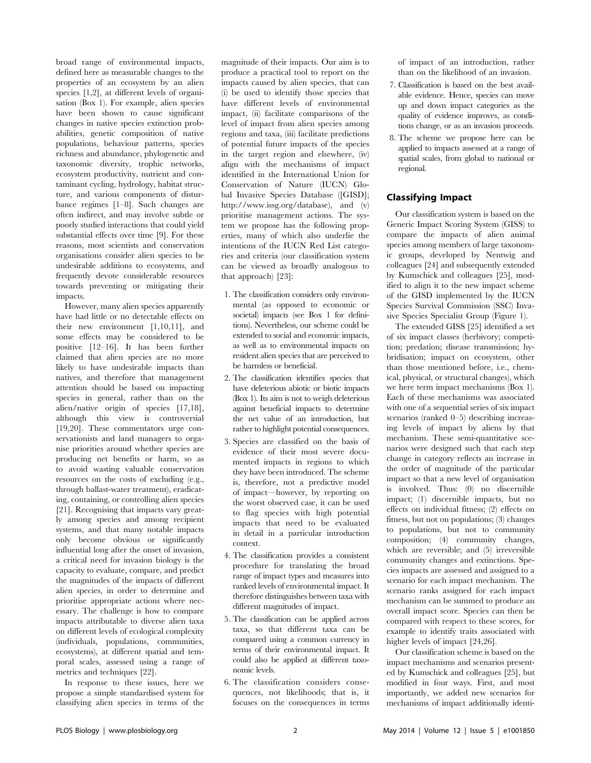broad range of environmental impacts, defined here as measurable changes to the properties of an ecosystem by an alien species [1,2], at different levels of organisation (Box 1). For example, alien species have been shown to cause significant changes in native species extinction probabilities, genetic composition of native populations, behaviour patterns, species richness and abundance, phylogenetic and taxonomic diversity, trophic networks, ecosystem productivity, nutrient and contaminant cycling, hydrology, habitat structure, and various components of disturbance regimes [1–8]. Such changes are often indirect, and may involve subtle or poorly studied interactions that could yield substantial effects over time [9]. For these reasons, most scientists and conservation organisations consider alien species to be undesirable additions to ecosystems, and frequently devote considerable resources towards preventing or mitigating their impacts.

However, many alien species apparently have had little or no detectable effects on their new environment [1,10,11], and some effects may be considered to be positive [12–16]. It has been further claimed that alien species are no more likely to have undesirable impacts than natives, and therefore that management attention should be based on impacting species in general, rather than on the alien/native origin of species [17,18], although this view is controversial [19,20]. These commentators urge conservationists and land managers to organise priorities around whether species are producing net benefits or harm, so as to avoid wasting valuable conservation resources on the costs of excluding (e.g., through ballast-water treatment), eradicating, containing, or controlling alien species [21]. Recognising that impacts vary greatly among species and among recipient systems, and that many notable impacts only become obvious or significantly influential long after the onset of invasion, a critical need for invasion biology is the capacity to evaluate, compare, and predict the magnitudes of the impacts of different alien species, in order to determine and prioritise appropriate actions where necessary. The challenge is how to compare impacts attributable to diverse alien taxa on different levels of ecological complexity (individuals, populations, communities, ecosystems), at different spatial and temporal scales, assessed using a range of metrics and techniques [22].

In response to these issues, here we propose a simple standardised system for classifying alien species in terms of the magnitude of their impacts. Our aim is to produce a practical tool to report on the impacts caused by alien species, that can (i) be used to identify those species that have different levels of environmental impact, (ii) facilitate comparisons of the level of impact from alien species among regions and taxa, (iii) facilitate predictions of potential future impacts of the species in the target region and elsewhere, (iv) align with the mechanisms of impact identified in the International Union for Conservation of Nature (IUCN) Global Invasive Species Database ([GISD]; <http://www.issg.org/database>), and (v) prioritise management actions. The system we propose has the following properties, many of which also underlie the intentions of the IUCN Red List categories and criteria (our classification system can be viewed as broadly analogous to that approach) [23]:

- 1. The classification considers only environmental (as opposed to economic or societal) impacts (see Box 1 for definitions). Nevertheless, our scheme could be extended to social and economic impacts, as well as to environmental impacts on resident alien species that are perceived to be harmless or beneficial.
- 2. The classification identifies species that have deleterious abiotic or biotic impacts (Box 1). Its aim is not to weigh deleterious against beneficial impacts to determine the net value of an introduction, but rather to highlight potential consequences.
- 3. Species are classified on the basis of evidence of their most severe documented impacts in regions to which they have been introduced. The scheme is, therefore, not a predictive model of impact—however, by reporting on the worst observed case, it can be used to flag species with high potential impacts that need to be evaluated in detail in a particular introduction context.
- 4. The classification provides a consistent procedure for translating the broad range of impact types and measures into ranked levels of environmental impact. It therefore distinguishes between taxa with different magnitudes of impact.
- 5. The classification can be applied across taxa, so that different taxa can be compared using a common currency in terms of their environmental impact. It could also be applied at different taxonomic levels.
- 6. The classification considers consequences, not likelihoods; that is, it focuses on the consequences in terms

of impact of an introduction, rather than on the likelihood of an invasion.

- 7. Classification is based on the best available evidence. Hence, species can move up and down impact categories as the quality of evidence improves, as conditions change, or as an invasion proceeds.
- 8. The scheme we propose here can be applied to impacts assessed at a range of spatial scales, from global to national or regional.

# Classifying Impact

Our classification system is based on the Generic Impact Scoring System (GISS) to compare the impacts of alien animal species among members of large taxonomic groups, developed by Nentwig and colleagues [24] and subsequently extended by Kumschick and colleagues [25], modified to align it to the new impact scheme of the GISD implemented by the IUCN Species Survival Commission (SSC) Invasive Species Specialist Group (Figure 1).

The extended GISS [25] identified a set of six impact classes (herbivory; competition; predation; disease transmission; hybridisation; impact on ecosystem, other than those mentioned before, i.e., chemical, physical, or structural changes), which we here term impact mechanisms (Box 1). Each of these mechanisms was associated with one of a sequential series of six impact scenarios (ranked 0–5) describing increasing levels of impact by aliens by that mechanism. These semi-quantitative scenarios were designed such that each step change in category reflects an increase in the order of magnitude of the particular impact so that a new level of organisation is involved. Thus: (0) no discernible impact; (1) discernible impacts, but no effects on individual fitness; (2) effects on fitness, but not on populations; (3) changes to populations, but not to community composition; (4) community changes, which are reversible; and (5) irreversible community changes and extinctions. Species impacts are assessed and assigned to a scenario for each impact mechanism. The scenario ranks assigned for each impact mechanism can be summed to produce an overall impact score. Species can then be compared with respect to these scores, for example to identify traits associated with higher levels of impact [24,26].

Our classification scheme is based on the impact mechanisms and scenarios presented by Kumschick and colleagues [25], but modified in four ways. First, and most importantly, we added new scenarios for mechanisms of impact additionally identi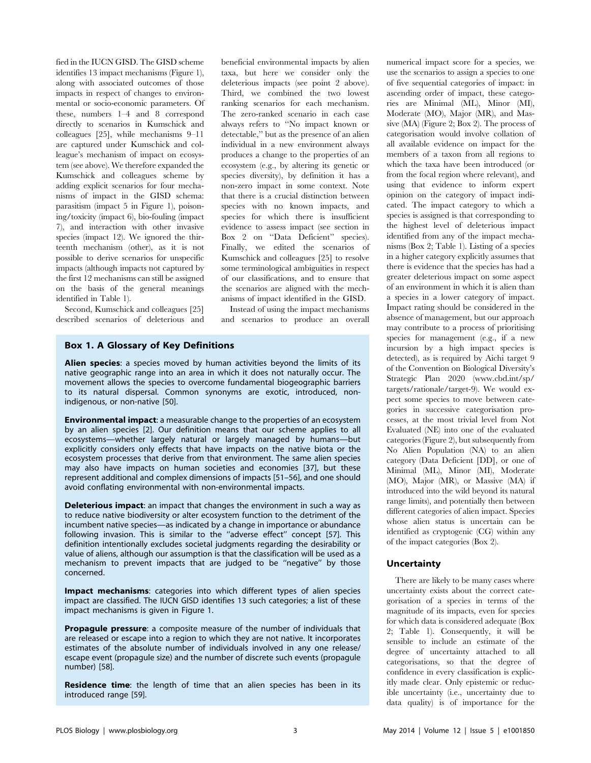fied in the IUCN GISD. The GISD scheme identifies 13 impact mechanisms (Figure 1), along with associated outcomes of those impacts in respect of changes to environmental or socio-economic parameters. Of these, numbers 1–4 and 8 correspond directly to scenarios in Kumschick and colleagues [25], while mechanisms 9–11 are captured under Kumschick and colleague's mechanism of impact on ecosystem (see above). We therefore expanded the Kumschick and colleagues scheme by adding explicit scenarios for four mechanisms of impact in the GISD schema: parasitism (impact 5 in Figure 1), poisoning/toxicity (impact 6), bio-fouling (impact 7), and interaction with other invasive species (impact 12). We ignored the thirteenth mechanism (other), as it is not possible to derive scenarios for unspecific impacts (although impacts not captured by the first 12 mechanisms can still be assigned on the basis of the general meanings identified in Table 1).

Second, Kumschick and colleagues [25] described scenarios of deleterious and beneficial environmental impacts by alien taxa, but here we consider only the deleterious impacts (see point 2 above). Third, we combined the two lowest ranking scenarios for each mechanism. The zero-ranked scenario in each case always refers to ''No impact known or detectable,'' but as the presence of an alien individual in a new environment always produces a change to the properties of an ecosystem (e.g., by altering its genetic or species diversity), by definition it has a non-zero impact in some context. Note that there is a crucial distinction between species with no known impacts, and species for which there is insufficient evidence to assess impact (see section in Box 2 on ''Data Deficient'' species). Finally, we edited the scenarios of Kumschick and colleagues [25] to resolve some terminological ambiguities in respect of our classifications, and to ensure that the scenarios are aligned with the mechanisms of impact identified in the GISD.

Instead of using the impact mechanisms and scenarios to produce an overall

## Box 1. A Glossary of Key Definitions

Alien species: a species moved by human activities beyond the limits of its native geographic range into an area in which it does not naturally occur. The movement allows the species to overcome fundamental biogeographic barriers to its natural dispersal. Common synonyms are exotic, introduced, nonindigenous, or non-native [50].

**Environmental impact:** a measurable change to the properties of an ecosystem by an alien species [2]. Our definition means that our scheme applies to all ecosystems—whether largely natural or largely managed by humans—but explicitly considers only effects that have impacts on the native biota or the ecosystem processes that derive from that environment. The same alien species may also have impacts on human societies and economies [37], but these represent additional and complex dimensions of impacts [51–56], and one should avoid conflating environmental with non-environmental impacts.

Deleterious impact: an impact that changes the environment in such a way as to reduce native biodiversity or alter ecosystem function to the detriment of the incumbent native species—as indicated by a change in importance or abundance following invasion. This is similar to the ''adverse effect'' concept [57]. This definition intentionally excludes societal judgments regarding the desirability or value of aliens, although our assumption is that the classification will be used as a mechanism to prevent impacts that are judged to be ''negative'' by those concerned.

Impact mechanisms: categories into which different types of alien species impact are classified. The IUCN GISD identifies 13 such categories; a list of these impact mechanisms is given in Figure 1.

Propagule pressure: a composite measure of the number of individuals that are released or escape into a region to which they are not native. It incorporates estimates of the absolute number of individuals involved in any one release/ escape event (propagule size) and the number of discrete such events (propagule number) [58].

Residence time: the length of time that an alien species has been in its introduced range [59].

numerical impact score for a species, we use the scenarios to assign a species to one of five sequential categories of impact: in ascending order of impact, these categories are Minimal (ML), Minor (MI), Moderate (MO), Major (MR), and Massive (MA) (Figure 2; Box 2). The process of categorisation would involve collation of all available evidence on impact for the members of a taxon from all regions to which the taxa have been introduced (or from the focal region where relevant), and using that evidence to inform expert opinion on the category of impact indicated. The impact category to which a species is assigned is that corresponding to the highest level of deleterious impact identified from any of the impact mechanisms (Box 2; Table 1). Listing of a species in a higher category explicitly assumes that there is evidence that the species has had a greater deleterious impact on some aspect of an environment in which it is alien than a species in a lower category of impact. Impact rating should be considered in the absence of management, but our approach may contribute to a process of prioritising species for management (e.g., if a new incursion by a high impact species is detected), as is required by Aichi target 9 of the Convention on Biological Diversity's Strategic Plan 2020 [\(www.cbd.int/sp/](www.cbd.int/sp/targets/rationale/target-9) [targets/rationale/target-9\)](www.cbd.int/sp/targets/rationale/target-9). We would expect some species to move between categories in successive categorisation processes, at the most trivial level from Not Evaluated (NE) into one of the evaluated categories (Figure 2), but subsequently from No Alien Population (NA) to an alien category (Data Deficient [DD], or one of Minimal (ML), Minor (MI), Moderate (MO), Major (MR), or Massive (MA) if introduced into the wild beyond its natural range limits), and potentially then between different categories of alien impact. Species whose alien status is uncertain can be identified as cryptogenic (CG) within any of the impact categories (Box 2).

#### **Uncertainty**

There are likely to be many cases where uncertainty exists about the correct categorisation of a species in terms of the magnitude of its impacts, even for species for which data is considered adequate (Box 2; Table 1). Consequently, it will be sensible to include an estimate of the degree of uncertainty attached to all categorisations, so that the degree of confidence in every classification is explicitly made clear. Only epistemic or reducible uncertainty (i.e., uncertainty due to data quality) is of importance for the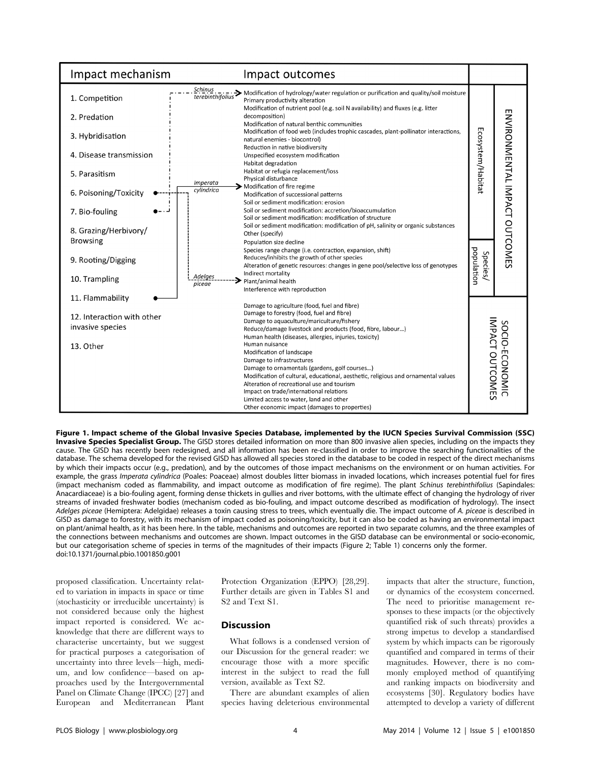

Figure 1. Impact scheme of the Global Invasive Species Database, implemented by the IUCN Species Survival Commission (SSC) Invasive Species Specialist Group. The GISD stores detailed information on more than 800 invasive alien species, including on the impacts they cause. The GISD has recently been redesigned, and all information has been re-classified in order to improve the searching functionalities of the database. The schema developed for the revised GISD has allowed all species stored in the database to be coded in respect of the direct mechanisms by which their impacts occur (e.g., predation), and by the outcomes of those impact mechanisms on the environment or on human activities. For example, the grass Imperata cylindrica (Poales: Poaceae) almost doubles litter biomass in invaded locations, which increases potential fuel for fires (impact mechanism coded as flammability, and impact outcome as modification of fire regime). The plant Schinus terebinthifolius (Sapindales: Anacardiaceae) is a bio-fouling agent, forming dense thickets in gullies and river bottoms, with the ultimate effect of changing the hydrology of river streams of invaded freshwater bodies (mechanism coded as bio-fouling, and impact outcome described as modification of hydrology). The insect Adelges piceae (Hemiptera: Adelgidae) releases a toxin causing stress to trees, which eventually die. The impact outcome of A. piceae is described in GISD as damage to forestry, with its mechanism of impact coded as poisoning/toxicity, but it can also be coded as having an environmental impact on plant/animal health, as it has been here. In the table, mechanisms and outcomes are reported in two separate columns, and the three examples of the connections between mechanisms and outcomes are shown. Impact outcomes in the GISD database can be environmental or socio-economic, but our categorisation scheme of species in terms of the magnitudes of their impacts (Figure 2; Table 1) concerns only the former. doi:10.1371/journal.pbio.1001850.g001

proposed classification. Uncertainty related to variation in impacts in space or time (stochasticity or irreducible uncertainty) is not considered because only the highest impact reported is considered. We acknowledge that there are different ways to characterise uncertainty, but we suggest for practical purposes a categorisation of uncertainty into three levels—high, medium, and low confidence—based on approaches used by the Intergovernmental Panel on Climate Change (IPCC) [27] and European and Mediterranean Plant

Protection Organization (EPPO) [28,29]. Further details are given in Tables S1 and S2 and Text S1.

#### **Discussion**

What follows is a condensed version of our Discussion for the general reader: we encourage those with a more specific interest in the subject to read the full version, available as Text S2.

There are abundant examples of alien species having deleterious environmental impacts that alter the structure, function, or dynamics of the ecosystem concerned. The need to prioritise management responses to these impacts (or the objectively quantified risk of such threats) provides a strong impetus to develop a standardised system by which impacts can be rigorously quantified and compared in terms of their magnitudes. However, there is no commonly employed method of quantifying and ranking impacts on biodiversity and ecosystems [30]. Regulatory bodies have attempted to develop a variety of different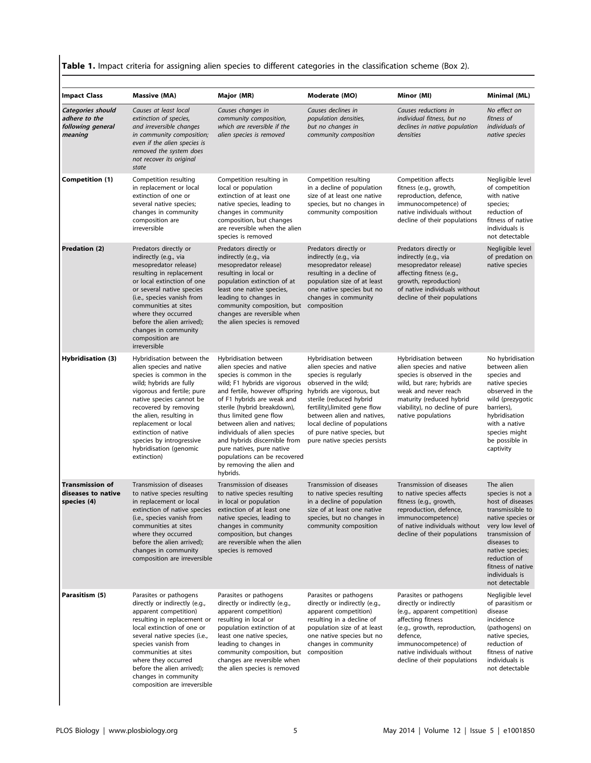Table 1. Impact criteria for assigning alien species to different categories in the classification scheme (Box 2).

| <b>Impact Class</b>                                                | <b>Massive (MA)</b>                                                                                                                                                                                                                                                                                                                             | Major (MR)                                                                                                                                                                                                                                                                                                                                                                                                                                  | Moderate (MO)                                                                                                                                                                                                                                                                                                            | Minor (MI)                                                                                                                                                                                                                              | Minimal (ML)                                                                                                                                                                                                                                  |
|--------------------------------------------------------------------|-------------------------------------------------------------------------------------------------------------------------------------------------------------------------------------------------------------------------------------------------------------------------------------------------------------------------------------------------|---------------------------------------------------------------------------------------------------------------------------------------------------------------------------------------------------------------------------------------------------------------------------------------------------------------------------------------------------------------------------------------------------------------------------------------------|--------------------------------------------------------------------------------------------------------------------------------------------------------------------------------------------------------------------------------------------------------------------------------------------------------------------------|-----------------------------------------------------------------------------------------------------------------------------------------------------------------------------------------------------------------------------------------|-----------------------------------------------------------------------------------------------------------------------------------------------------------------------------------------------------------------------------------------------|
| Categories should<br>adhere to the<br>following general<br>meaning | Causes at least local<br>extinction of species,<br>and irreversible changes<br>in community composition;<br>even if the alien species is<br>removed the system does<br>not recover its original<br>state                                                                                                                                        | Causes changes in<br>community composition,<br>which are reversible if the<br>alien species is removed                                                                                                                                                                                                                                                                                                                                      | Causes declines in<br>population densities,<br>but no changes in<br>community composition                                                                                                                                                                                                                                | Causes reductions in<br>individual fitness, but no<br>declines in native population<br>densities                                                                                                                                        | No effect on<br>fitness of<br>individuals of<br>native species                                                                                                                                                                                |
| Competition (1)                                                    | Competition resulting<br>in replacement or local<br>extinction of one or<br>several native species;<br>changes in community<br>composition are<br>irreversible                                                                                                                                                                                  | Competition resulting in<br>local or population<br>extinction of at least one<br>native species, leading to<br>changes in community<br>composition, but changes<br>are reversible when the alien<br>species is removed                                                                                                                                                                                                                      | Competition resulting<br>in a decline of population<br>size of at least one native<br>species, but no changes in<br>community composition                                                                                                                                                                                | Competition affects<br>fitness (e.g., growth,<br>reproduction, defence,<br>immunocompetence) of<br>native individuals without<br>decline of their populations                                                                           | Negligible level<br>of competition<br>with native<br>species;<br>reduction of<br>fitness of native<br>individuals is<br>not detectable                                                                                                        |
| Predation (2)                                                      | Predators directly or<br>indirectly (e.g., via<br>mesopredator release)<br>resulting in replacement<br>or local extinction of one<br>or several native species<br>(i.e., species vanish from<br>communities at sites<br>where they occurred<br>before the alien arrived);<br>changes in community<br>composition are<br>irreversible            | Predators directly or<br>indirectly (e.g., via<br>mesopredator release)<br>resulting in local or<br>population extinction of at<br>least one native species,<br>leading to changes in<br>community composition, but<br>changes are reversible when<br>the alien species is removed                                                                                                                                                          | Predators directly or<br>indirectly (e.g., via<br>mesopredator release)<br>resulting in a decline of<br>population size of at least<br>one native species but no<br>changes in community<br>composition                                                                                                                  | Predators directly or<br>indirectly (e.g., via<br>mesopredator release)<br>affecting fitness (e.g.,<br>growth, reproduction)<br>of native individuals without<br>decline of their populations                                           | Negligible level<br>of predation on<br>native species                                                                                                                                                                                         |
| Hybridisation (3)                                                  | Hybridisation between the<br>alien species and native<br>species is common in the<br>wild; hybrids are fully<br>vigorous and fertile; pure<br>native species cannot be<br>recovered by removing<br>the alien, resulting in<br>replacement or local<br>extinction of native<br>species by introgressive<br>hybridisation (genomic<br>extinction) | Hybridisation between<br>alien species and native<br>species is common in the<br>wild; F1 hybrids are vigorous<br>and fertile, however offspring<br>of F1 hybrids are weak and<br>sterile (hybrid breakdown),<br>thus limited gene flow<br>between alien and natives;<br>individuals of alien species<br>and hybrids discernible from<br>pure natives, pure native<br>populations can be recovered<br>by removing the alien and<br>hybrids. | Hybridisation between<br>alien species and native<br>species is regularly<br>observed in the wild;<br>hybrids are vigorous, but<br>sterile (reduced hybrid<br>fertility), limited gene flow<br>between alien and natives,<br>local decline of populations<br>of pure native species, but<br>pure native species persists | Hybridisation between<br>alien species and native<br>species is observed in the<br>wild, but rare; hybrids are<br>weak and never reach<br>maturity (reduced hybrid<br>viability), no decline of pure<br>native populations              | No hybridisatior<br>between alien<br>species and<br>native species<br>observed in the<br>wild (prezygotic<br>barriers),<br>hybridisation<br>with a native<br>species might<br>be possible in<br>captivity                                     |
| <b>Transmission of</b><br>diseases to native<br>species (4)        | Transmission of diseases<br>to native species resulting<br>in replacement or local<br>extinction of native species<br>(i.e., species vanish from<br>communities at sites<br>where they occurred<br>before the alien arrived);<br>changes in community<br>composition are irreversible                                                           | Transmission of diseases<br>to native species resulting<br>in local or population<br>extinction of at least one<br>native species, leading to<br>changes in community<br>composition, but changes<br>are reversible when the alien<br>species is removed                                                                                                                                                                                    | Transmission of diseases<br>to native species resulting<br>in a decline of population<br>size of at least one native<br>species, but no changes in<br>community composition                                                                                                                                              | Transmission of diseases<br>to native species affects<br>fitness (e.g., growth,<br>reproduction, defence,<br>(immunocompetence<br>of native individuals without<br>decline of their populations                                         | The alien<br>species is not a<br>host of diseases<br>transmissible to<br>native species or<br>very low level of<br>transmission of<br>diseases to<br>native species;<br>reduction of<br>fitness of native<br>individuals is<br>not detectable |
| Parasitism (5)                                                     | Parasites or pathogens<br>directly or indirectly (e.g.,<br>apparent competition)<br>resulting in replacement or<br>local extinction of one or<br>several native species (i.e.,<br>species vanish from<br>communities at sites<br>where they occurred<br>before the alien arrived);<br>changes in community<br>composition are irreversible      | Parasites or pathogens<br>directly or indirectly (e.g.,<br>apparent competition)<br>resulting in local or<br>population extinction of at<br>least one native species,<br>leading to changes in<br>community composition, but<br>changes are reversible when<br>the alien species is removed                                                                                                                                                 | Parasites or pathogens<br>directly or indirectly (e.g.,<br>apparent competition)<br>resulting in a decline of<br>population size of at least<br>one native species but no<br>changes in community<br>composition                                                                                                         | Parasites or pathogens<br>directly or indirectly<br>(e.g., apparent competition)<br>affecting fitness<br>(e.g., growth, reproduction,<br>defence,<br>immunocompetence) of<br>native individuals without<br>decline of their populations | Negligible level<br>of parasitism or<br>disease<br>incidence<br>(pathogens) on<br>native species,<br>reduction of<br>fitness of native<br>individuals is<br>not detectable                                                                    |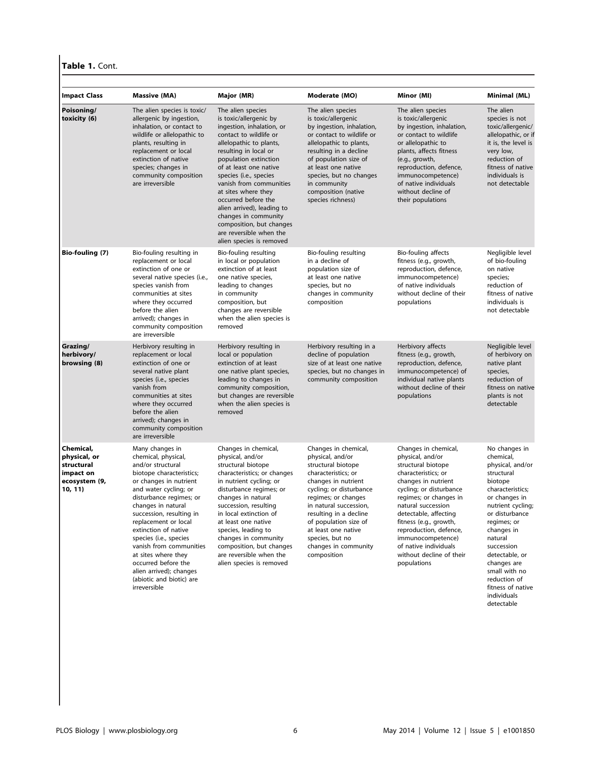# Table 1. Cont.

| <b>Impact Class</b>                                                              | <b>Massive (MA)</b>                                                                                                                                                                                                                                                                                                                                                                                                                               | Major (MR)                                                                                                                                                                                                                                                                                                                                                                                                                                            | Moderate (MO)                                                                                                                                                                                                                                                                                                                | Minor (MI)                                                                                                                                                                                                                                                                                                                                                    | Minimal (ML)                                                                                                                                                                                                                                                                                                                  |
|----------------------------------------------------------------------------------|---------------------------------------------------------------------------------------------------------------------------------------------------------------------------------------------------------------------------------------------------------------------------------------------------------------------------------------------------------------------------------------------------------------------------------------------------|-------------------------------------------------------------------------------------------------------------------------------------------------------------------------------------------------------------------------------------------------------------------------------------------------------------------------------------------------------------------------------------------------------------------------------------------------------|------------------------------------------------------------------------------------------------------------------------------------------------------------------------------------------------------------------------------------------------------------------------------------------------------------------------------|---------------------------------------------------------------------------------------------------------------------------------------------------------------------------------------------------------------------------------------------------------------------------------------------------------------------------------------------------------------|-------------------------------------------------------------------------------------------------------------------------------------------------------------------------------------------------------------------------------------------------------------------------------------------------------------------------------|
| Poisoning/<br>toxicity (6)                                                       | The alien species is toxic/<br>allergenic by ingestion,<br>inhalation, or contact to<br>wildlife or allelopathic to<br>plants, resulting in<br>replacement or local<br>extinction of native<br>species; changes in<br>community composition<br>are irreversible                                                                                                                                                                                   | The alien species<br>is toxic/allergenic by<br>ingestion, inhalation, or<br>contact to wildlife or<br>allelopathic to plants,<br>resulting in local or<br>population extinction<br>of at least one native<br>species (i.e., species<br>vanish from communities<br>at sites where they<br>occurred before the<br>alien arrived), leading to<br>changes in community<br>composition, but changes<br>are reversible when the<br>alien species is removed | The alien species<br>is toxic/allergenic<br>by ingestion, inhalation,<br>or contact to wildlife or<br>allelopathic to plants,<br>resulting in a decline<br>of population size of<br>at least one native<br>species, but no changes<br>in community<br>composition (native<br>species richness)                               | The alien species<br>is toxic/allergenic<br>by ingestion, inhalation,<br>or contact to wildlife<br>or allelopathic to<br>plants, affects fitness<br>(e.g., growth,<br>reproduction, defence,<br>immunocompetence)<br>of native individuals<br>without decline of<br>their populations                                                                         | The alien<br>species is not<br>toxic/allergenic/<br>allelopathic, or if<br>it is, the level is<br>very low,<br>reduction of<br>fitness of native<br>individuals is<br>not detectable                                                                                                                                          |
| <b>Bio-fouling (7)</b>                                                           | Bio-fouling resulting in<br>replacement or local<br>extinction of one or<br>several native species (i.e.,<br>species vanish from<br>communities at sites<br>where they occurred<br>before the alien<br>arrived); changes in<br>community composition<br>are irreversible                                                                                                                                                                          | Bio-fouling resulting<br>in local or population<br>extinction of at least<br>one native species,<br>leading to changes<br>in community<br>composition, but<br>changes are reversible<br>when the alien species is<br>removed                                                                                                                                                                                                                          | Bio-fouling resulting<br>in a decline of<br>population size of<br>at least one native<br>species, but no<br>changes in community<br>composition                                                                                                                                                                              | Bio-fouling affects<br>fitness (e.g., growth,<br>reproduction, defence,<br>immunocompetence)<br>of native individuals<br>without decline of their<br>populations                                                                                                                                                                                              | Negligible level<br>of bio-fouling<br>on native<br>species;<br>reduction of<br>fitness of native<br>individuals is<br>not detectable                                                                                                                                                                                          |
| Grazing/<br>herbivory/<br>browsing (8)                                           | Herbivory resulting in<br>replacement or local<br>extinction of one or<br>several native plant<br>species (i.e., species<br>vanish from<br>communities at sites<br>where they occurred<br>before the alien<br>arrived); changes in<br>community composition<br>are irreversible                                                                                                                                                                   | Herbivory resulting in<br>local or population<br>extinction of at least<br>one native plant species,<br>leading to changes in<br>community composition,<br>but changes are reversible<br>when the alien species is<br>removed                                                                                                                                                                                                                         | Herbivory resulting in a<br>decline of population<br>size of at least one native<br>species, but no changes in<br>community composition                                                                                                                                                                                      | Herbivory affects<br>fitness (e.g., growth,<br>reproduction, defence,<br>immunocompetence) of<br>individual native plants<br>without decline of their<br>populations                                                                                                                                                                                          | Negligible level<br>of herbivory on<br>native plant<br>species,<br>reduction of<br>fitness on native<br>plants is not<br>detectable                                                                                                                                                                                           |
| Chemical,<br>physical, or<br>structural<br>impact on<br>ecosystem (9,<br>10, 11) | Many changes in<br>chemical, physical,<br>and/or structural<br>biotope characteristics;<br>or changes in nutrient<br>and water cycling; or<br>disturbance regimes; or<br>changes in natural<br>succession, resulting in<br>replacement or local<br>extinction of native<br>species (i.e., species<br>vanish from communities<br>at sites where they<br>occurred before the<br>alien arrived); changes<br>(abiotic and biotic) are<br>irreversible | Changes in chemical,<br>physical, and/or<br>structural biotope<br>characteristics; or changes<br>in nutrient cycling; or<br>disturbance regimes; or<br>changes in natural<br>succession, resulting<br>in local extinction of<br>at least one native<br>species, leading to<br>changes in community<br>composition, but changes<br>are reversible when the<br>alien species is removed                                                                 | Changes in chemical,<br>physical, and/or<br>structural biotope<br>characteristics; or<br>changes in nutrient<br>cycling; or disturbance<br>regimes; or changes<br>in natural succession,<br>resulting in a decline<br>of population size of<br>at least one native<br>species, but no<br>changes in community<br>composition | Changes in chemical,<br>physical, and/or<br>structural biotope<br>characteristics; or<br>changes in nutrient<br>cycling; or disturbance<br>regimes; or changes in<br>natural succession<br>detectable, affecting<br>fitness (e.g., growth,<br>reproduction, defence,<br>immunocompetence)<br>of native individuals<br>without decline of their<br>populations | No changes in<br>chemical,<br>physical, and/or<br>structural<br>biotope<br>characteristics;<br>or changes in<br>nutrient cycling;<br>or disturbance<br>regimes; or<br>changes in<br>natural<br>succession<br>detectable, or<br>changes are<br>small with no<br>reduction of<br>fitness of native<br>individuals<br>detectable |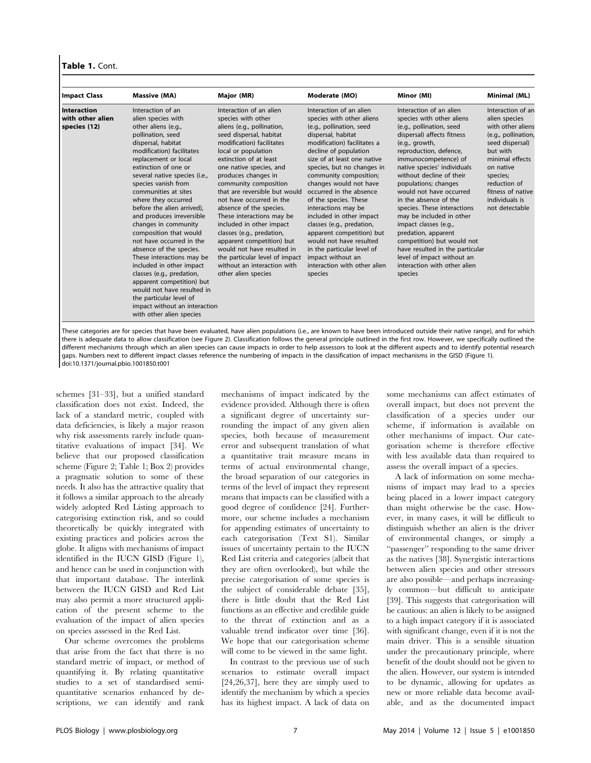Table 1. Cont.

| <b>Impact Class</b>                                    | <b>Massive (MA)</b>                                                                                                                                                                                                                                                                                                                                                                                                                                                                                                                                                                                                                                                                                        | Major (MR)                                                                                                                                                                                                                                                                                                                                                                                                                                                                                                                                                                                       | Moderate (MO)                                                                                                                                                                                                                                                                                                                                                                                                                                                                                                                                                             | Minor (MI)                                                                                                                                                                                                                                                                                                                                                                                                                                                                                                                                                                     | Minimal (ML)                                                                                                                                                                                                                       |
|--------------------------------------------------------|------------------------------------------------------------------------------------------------------------------------------------------------------------------------------------------------------------------------------------------------------------------------------------------------------------------------------------------------------------------------------------------------------------------------------------------------------------------------------------------------------------------------------------------------------------------------------------------------------------------------------------------------------------------------------------------------------------|--------------------------------------------------------------------------------------------------------------------------------------------------------------------------------------------------------------------------------------------------------------------------------------------------------------------------------------------------------------------------------------------------------------------------------------------------------------------------------------------------------------------------------------------------------------------------------------------------|---------------------------------------------------------------------------------------------------------------------------------------------------------------------------------------------------------------------------------------------------------------------------------------------------------------------------------------------------------------------------------------------------------------------------------------------------------------------------------------------------------------------------------------------------------------------------|--------------------------------------------------------------------------------------------------------------------------------------------------------------------------------------------------------------------------------------------------------------------------------------------------------------------------------------------------------------------------------------------------------------------------------------------------------------------------------------------------------------------------------------------------------------------------------|------------------------------------------------------------------------------------------------------------------------------------------------------------------------------------------------------------------------------------|
| <b>Interaction</b><br>with other alien<br>species (12) | Interaction of an<br>alien species with<br>other aliens (e.g.,<br>pollination, seed<br>dispersal, habitat<br>modification) facilitates<br>replacement or local<br>extinction of one or<br>several native species (i.e.,<br>species vanish from<br>communities at sites<br>where they occurred<br>before the alien arrived),<br>and produces irreversible<br>changes in community<br>composition that would<br>not have occurred in the<br>absence of the species.<br>These interactions may be<br>included in other impact<br>classes (e.g., predation,<br>apparent competition) but<br>would not have resulted in<br>the particular level of<br>impact without an interaction<br>with other alien species | Interaction of an alien<br>species with other<br>aliens (e.g., pollination,<br>seed dispersal, habitat<br>modification) facilitates<br>local or population<br>extinction of at least<br>one native species, and<br>produces changes in<br>community composition<br>that are reversible but would<br>not have occurred in the<br>absence of the species.<br>These interactions may be<br>included in other impact<br>classes (e.g., predation,<br>apparent competition) but<br>would not have resulted in<br>the particular level of impact<br>without an interaction with<br>other alien species | Interaction of an alien<br>species with other aliens<br>(e.g., pollination, seed<br>dispersal, habitat<br>modification) facilitates a<br>decline of population<br>size of at least one native<br>species, but no changes in<br>community composition;<br>changes would not have<br>occurred in the absence<br>of the species. These<br>interactions may be<br>included in other impact<br>classes (e.g., predation,<br>apparent competition) but<br>would not have resulted<br>in the particular level of<br>impact without an<br>interaction with other alien<br>species | Interaction of an alien<br>species with other aliens<br>(e.g., pollination, seed<br>dispersal) affects fitness<br>(e.g., growth,<br>reproduction, defence,<br>immunocompetence) of<br>native species' individuals<br>without decline of their<br>populations; changes<br>would not have occurred<br>in the absence of the<br>species. These interactions<br>may be included in other<br>impact classes (e.g.,<br>predation, apparent<br>competition) but would not<br>have resulted in the particular<br>level of impact without an<br>interaction with other alien<br>species | Interaction of an<br>alien species<br>with other aliens<br>(e.g., pollination,<br>seed dispersal)<br>but with<br>minimal effects<br>on native<br>species;<br>reduction of<br>fitness of native<br>individuals is<br>not detectable |

there is adequate data to allow classification (see Figure 2). Classification follows the general principle outlined in the first row. However, we specifically outlined the different mechanisms through which an alien species can cause impacts in order to help assessors to look at the different aspects and to identify potential research gaps. Numbers next to different impact classes reference the numbering of impacts in the classification of impact mechanisms in the GISD (Figure 1). doi:10.1371/journal.pbio.1001850.t001

schemes [31–33], but a unified standard classification does not exist. Indeed, the lack of a standard metric, coupled with data deficiencies, is likely a major reason why risk assessments rarely include quantitative evaluations of impact [34]. We believe that our proposed classification scheme (Figure 2; Table 1; Box 2) provides a pragmatic solution to some of these needs. It also has the attractive quality that it follows a similar approach to the already widely adopted Red Listing approach to categorising extinction risk, and so could theoretically be quickly integrated with existing practices and policies across the globe. It aligns with mechanisms of impact identified in the IUCN GISD (Figure 1), and hence can be used in conjunction with that important database. The interlink between the IUCN GISD and Red List may also permit a more structured application of the present scheme to the evaluation of the impact of alien species on species assessed in the Red List.

Our scheme overcomes the problems that arise from the fact that there is no standard metric of impact, or method of quantifying it. By relating quantitative studies to a set of standardised semiquantitative scenarios enhanced by descriptions, we can identify and rank mechanisms of impact indicated by the evidence provided. Although there is often a significant degree of uncertainty surrounding the impact of any given alien species, both because of measurement error and subsequent translation of what a quantitative trait measure means in terms of actual environmental change, the broad separation of our categories in terms of the level of impact they represent means that impacts can be classified with a good degree of confidence [24]. Furthermore, our scheme includes a mechanism for appending estimates of uncertainty to each categorisation (Text S1). Similar issues of uncertainty pertain to the IUCN Red List criteria and categories (albeit that they are often overlooked), but while the precise categorisation of some species is the subject of considerable debate [35], there is little doubt that the Red List functions as an effective and credible guide to the threat of extinction and as a valuable trend indicator over time [36]. We hope that our categorisation scheme will come to be viewed in the same light.

In contrast to the previous use of such scenarios to estimate overall impact [24,26,37], here they are simply used to identify the mechanism by which a species has its highest impact. A lack of data on some mechanisms can affect estimates of overall impact, but does not prevent the classification of a species under our scheme, if information is available on other mechanisms of impact. Our categorisation scheme is therefore effective with less available data than required to assess the overall impact of a species.

A lack of information on some mechanisms of impact may lead to a species being placed in a lower impact category than might otherwise be the case. However, in many cases, it will be difficult to distinguish whether an alien is the driver of environmental changes, or simply a ''passenger'' responding to the same driver as the natives [38]. Synergistic interactions between alien species and other stressors are also possible—and perhaps increasingly common—but difficult to anticipate [39]. This suggests that categorisation will be cautious: an alien is likely to be assigned to a high impact category if it is associated with significant change, even if it is not the main driver. This is a sensible situation under the precautionary principle, where benefit of the doubt should not be given to the alien. However, our system is intended to be dynamic, allowing for updates as new or more reliable data become available, and as the documented impact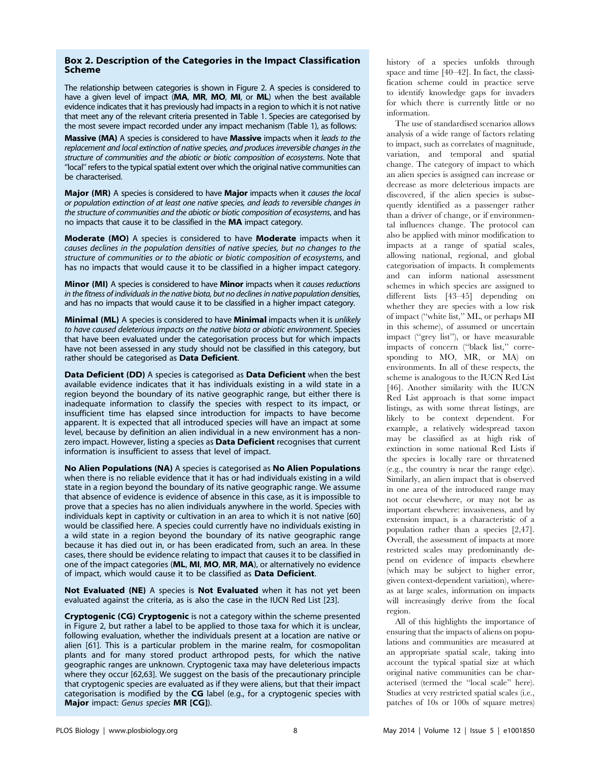## Box 2. Description of the Categories in the Impact Classification Scheme

The relationship between categories is shown in Figure 2. A species is considered to have a given level of impact (MA, MR, MO, MI, or ML) when the best available evidence indicates that it has previously had impacts in a region to which it is not native that meet any of the relevant criteria presented in Table 1. Species are categorised by the most severe impact recorded under any impact mechanism (Table 1), as follows:

Massive (MA) A species is considered to have Massive impacts when it leads to the replacement and local extinction of native species, and produces irreversible changes in the structure of communities and the abiotic or biotic composition of ecosystems. Note that ''local'' refers to the typical spatial extent over which the original native communities can be characterised.

Major (MR) A species is considered to have Major impacts when it causes the local or population extinction of at least one native species, and leads to reversible changes in the structure of communities and the abiotic or biotic composition of ecosystems, and has no impacts that cause it to be classified in the MA impact category.

Moderate (MO) A species is considered to have Moderate impacts when it causes declines in the population densities of native species, but no changes to the structure of communities or to the abiotic or biotic composition of ecosystems, and has no impacts that would cause it to be classified in a higher impact category.

Minor (MI) A species is considered to have Minor impacts when it causes reductions in the fitness of individuals in the native biota, but no declines in native population densities, and has no impacts that would cause it to be classified in a higher impact category.

Minimal (ML) A species is considered to have Minimal impacts when it is unlikely to have caused deleterious impacts on the native biota or abiotic environment. Species that have been evaluated under the categorisation process but for which impacts have not been assessed in any study should not be classified in this category, but rather should be categorised as Data Deficient.

Data Deficient (DD) A species is categorised as Data Deficient when the best available evidence indicates that it has individuals existing in a wild state in a region beyond the boundary of its native geographic range, but either there is inadequate information to classify the species with respect to its impact, or insufficient time has elapsed since introduction for impacts to have become apparent. It is expected that all introduced species will have an impact at some level, because by definition an alien individual in a new environment has a nonzero impact. However, listing a species as **Data Deficient** recognises that current information is insufficient to assess that level of impact.

No Alien Populations (NA) A species is categorised as No Alien Populations when there is no reliable evidence that it has or had individuals existing in a wild state in a region beyond the boundary of its native geographic range. We assume that absence of evidence is evidence of absence in this case, as it is impossible to prove that a species has no alien individuals anywhere in the world. Species with individuals kept in captivity or cultivation in an area to which it is not native [60] would be classified here. A species could currently have no individuals existing in a wild state in a region beyond the boundary of its native geographic range because it has died out in, or has been eradicated from, such an area. In these cases, there should be evidence relating to impact that causes it to be classified in one of the impact categories (ML, MI, MO, MR, MA), or alternatively no evidence of impact, which would cause it to be classified as Data Deficient.

Not Evaluated (NE) A species is Not Evaluated when it has not yet been evaluated against the criteria, as is also the case in the IUCN Red List [23].

Cryptogenic (CG) Cryptogenic is not a category within the scheme presented in Figure 2, but rather a label to be applied to those taxa for which it is unclear, following evaluation, whether the individuals present at a location are native or alien [61]. This is a particular problem in the marine realm, for cosmopolitan plants and for many stored product arthropod pests, for which the native geographic ranges are unknown. Cryptogenic taxa may have deleterious impacts where they occur [62,63]. We suggest on the basis of the precautionary principle that cryptogenic species are evaluated as if they were aliens, but that their impact categorisation is modified by the CG label (e.g., for a cryptogenic species with Major impact: Genus species MR [CG]).

history of a species unfolds through space and time [40–42]. In fact, the classification scheme could in practice serve to identify knowledge gaps for invaders for which there is currently little or no information.

The use of standardised scenarios allows analysis of a wide range of factors relating to impact, such as correlates of magnitude, variation, and temporal and spatial change. The category of impact to which an alien species is assigned can increase or decrease as more deleterious impacts are discovered, if the alien species is subsequently identified as a passenger rather than a driver of change, or if environmental influences change. The protocol can also be applied with minor modification to impacts at a range of spatial scales, allowing national, regional, and global categorisation of impacts. It complements and can inform national assessment schemes in which species are assigned to different lists [43–45] depending on whether they are species with a low risk of impact (''white list,'' ML, or perhaps MI in this scheme), of assumed or uncertain impact (''grey list''), or have measurable impacts of concern (''black list,'' corresponding to MO, MR, or MA) on environments. In all of these respects, the scheme is analogous to the IUCN Red List [46]. Another similarity with the IUCN Red List approach is that some impact listings, as with some threat listings, are likely to be context dependent. For example, a relatively widespread taxon may be classified as at high risk of extinction in some national Red Lists if the species is locally rare or threatened (e.g., the country is near the range edge). Similarly, an alien impact that is observed in one area of the introduced range may not occur elsewhere, or may not be as important elsewhere: invasiveness, and by extension impact, is a characteristic of a population rather than a species [2,47]. Overall, the assessment of impacts at more restricted scales may predominantly depend on evidence of impacts elsewhere (which may be subject to higher error, given context-dependent variation), whereas at large scales, information on impacts will increasingly derive from the focal region.

All of this highlights the importance of ensuring that the impacts of aliens on populations and communities are measured at an appropriate spatial scale, taking into account the typical spatial size at which original native communities can be characterised (termed the ''local scale'' here). Studies at very restricted spatial scales (i.e., patches of 10s or 100s of square metres)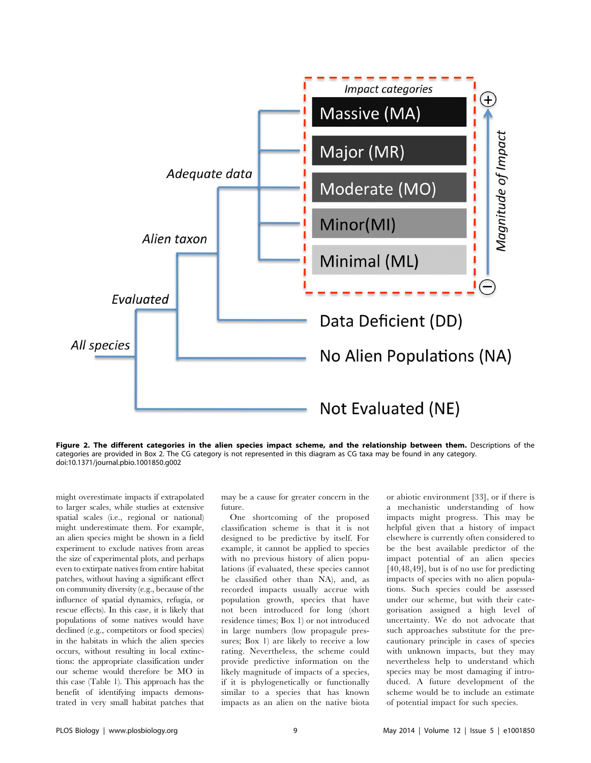

Figure 2. The different categories in the alien species impact scheme, and the relationship between them. Descriptions of the categories are provided in Box 2. The CG category is not represented in this diagram as CG taxa may be found in any category. doi:10.1371/journal.pbio.1001850.g002

might overestimate impacts if extrapolated to larger scales, while studies at extensive spatial scales (i.e., regional or national) might underestimate them. For example, an alien species might be shown in a field experiment to exclude natives from areas the size of experimental plots, and perhaps even to extirpate natives from entire habitat patches, without having a significant effect on community diversity (e.g., because of the influence of spatial dynamics, refugia, or rescue effects). In this case, it is likely that populations of some natives would have declined (e.g., competitors or food species) in the habitats in which the alien species occurs, without resulting in local extinctions: the appropriate classification under our scheme would therefore be MO in this case (Table 1). This approach has the benefit of identifying impacts demonstrated in very small habitat patches that

may be a cause for greater concern in the future.

One shortcoming of the proposed classification scheme is that it is not designed to be predictive by itself. For example, it cannot be applied to species with no previous history of alien populations (if evaluated, these species cannot be classified other than NA), and, as recorded impacts usually accrue with population growth, species that have not been introduced for long (short residence times; Box 1) or not introduced in large numbers (low propagule pressures; Box 1) are likely to receive a low rating. Nevertheless, the scheme could provide predictive information on the likely magnitude of impacts of a species, if it is phylogenetically or functionally similar to a species that has known impacts as an alien on the native biota or abiotic environment [33], or if there is a mechanistic understanding of how impacts might progress. This may be helpful given that a history of impact elsewhere is currently often considered to be the best available predictor of the impact potential of an alien species [40,48,49], but is of no use for predicting impacts of species with no alien populations. Such species could be assessed under our scheme, but with their categorisation assigned a high level of uncertainty. We do not advocate that such approaches substitute for the precautionary principle in cases of species with unknown impacts, but they may nevertheless help to understand which species may be most damaging if introduced. A future development of the scheme would be to include an estimate of potential impact for such species.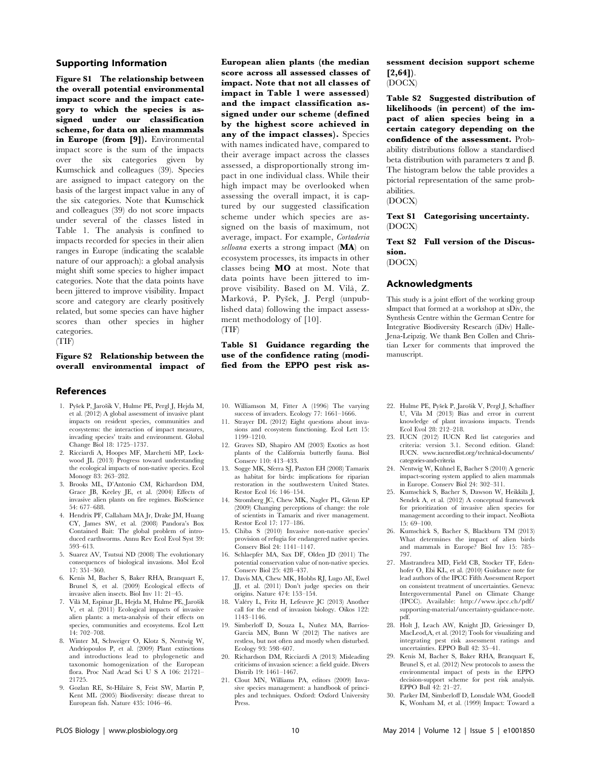## Supporting Information

Figure S1 The relationship between the overall potential environmental impact score and the impact category to which the species is assigned under our classification scheme, for data on alien mammals in Europe (from [9]). Environmental impact score is the sum of the impacts over the six categories given by Kumschick and colleagues (39). Species are assigned to impact category on the basis of the largest impact value in any of the six categories. Note that Kumschick and colleagues (39) do not score impacts under several of the classes listed in Table 1. The analysis is confined to impacts recorded for species in their alien ranges in Europe (indicating the scalable nature of our approach): a global analysis might shift some species to higher impact categories. Note that the data points have been jittered to improve visibility. Impact score and category are clearly positively related, but some species can have higher scores than other species in higher categories.

(TIF)

#### Figure S2 Relationship between the overall environmental impact of

#### References

- 1. Pyšek P, Jarošík V, Hulme PE, Pergl J, Hejda M, et al. (2012) A global assessment of invasive plant impacts on resident species, communities and ecosystems: the interaction of impact measures, invading species' traits and environment. Global Change Biol 18: 1725–1737.
- 2. Ricciardi A, Hoopes MF, Marchetti MP, Lockwood JL (2013) Progress toward understanding the ecological impacts of non-native species. Ecol Monogr 83: 263–282.
- 3. Brooks ML, D'Antonio CM, Richardson DM, Grace JB, Keeley JE, et al. (2004) Effects of invasive alien plants on fire regimes. BioScience 54: 677–688.
- 4. Hendrix PF, Callaham MA Jr, Drake JM, Huang CY, James SW, et al. (2008) Pandora's Box Contained Bait: The global problem of introduced earthworms. Annu Rev Ecol Evol Syst 39: 593–613.
- 5. Suarez AV, Tsutsui ND (2008) The evolutionary consequences of biological invasions. Mol Ecol 17: 351–360.
- 6. Kenis M, Bacher S, Baker RHA, Branquart E, Brunel S, et al. (2009) Ecological effects of invasive alien insects. Biol Inv 11: 21–45.
- 7. Vilà M, Espinar JL, Hejda M, Hulme PE, Jarošík V, et al. (2011) Ecological impacts of invasive alien plants: a meta-analysis of their effects on species, communities and ecosystems. Ecol Lett 14: 702–708.
- 8. Winter M, Schweiger O, Klotz S, Nentwig W, Andriopoulos P, et al. (2009) Plant extinctions and introductions lead to phylogenetic and taxonomic homogenization of the European flora. Proc Natl Acad Sci U S A 106: 21721– 21725.
- 9. Gozlan RE, St-Hilaire S, Feist SW, Martin P, Kent ML (2005) Biodiversity: disease threat to European fish. Nature 435: 1046–46.

European alien plants (the median score across all assessed classes of impact. Note that not all classes of impact in Table 1 were assessed) and the impact classification assigned under our scheme (defined by the highest score achieved in any of the impact classes). Species with names indicated have, compared to their average impact across the classes assessed, a disproportionally strong impact in one individual class. While their high impact may be overlooked when assessing the overall impact, it is captured by our suggested classification scheme under which species are assigned on the basis of maximum, not average, impact. For example, Cortaderia selloana exerts a strong impact (MA) on ecosystem processes, its impacts in other classes being MO at most. Note that data points have been jittered to improve visibility. Based on M. Vilà, Z. Marková, P. Pyšek, J. Pergl (unpublished data) following the impact assessment methodology of [10].

(TIF)

#### Table S1 Guidance regarding the use of the confidence rating (modified from the EPPO pest risk as-

- 10. Williamson M, Fitter A (1996) The varying success of invaders. Ecology 77: 1661–1666.
- 11. Strayer DL (2012) Eight questions about invasions and ecosystem functioning. Ecol Lett 15: 1199–1210.
- 12. Graves SD, Shapiro AM (2003) Exotics as host plants of the California butterfly fauna. Biol Conserv 110: 413–433.
- 13. Sogge MK, Sferra SJ, Paxton EH (2008) Tamarix as habitat for birds: implications for riparian restoration in the southwestern United States. Restor Ecol 16: 146–154.
- 14. Stromberg JC, Chew MK, Nagler PL, Glenn EP (2009) Changing perceptions of change: the role of scientists in Tamarix and river management. Restor Ecol 17: 177–186.
- 15. Chiba S (2010) Invasive non-native species' provision of refugia for endangered native species. Conserv Biol 24: 1141–1147.
- 16. Schlaepfer MA, Sax DF, Olden JD (2011) The potential conservation value of non-native species. Conserv Biol 25: 428–437.
- 17. Davis MA, Chew MK, Hobbs RJ, Lugo AE, Ewel JJ, et al. (2011) Don't judge species on their origins. Nature 474: 153–154.
- 18. Valéry L, Fritz H, Lefeuvre JC (2013) Another call for the end of invasion biology. Oikos 122: 1143–1146.
- 19. Simberloff D, Souza L, Nuñez MA, Barrios-Garcia MN, Bunn W (2012) The natives are restless, but not often and mostly when disturbed. Ecology 93: 598–607.
- 20. Richardson DM, Ricciardi A (2013) Misleading criticisms of invasion science: a field guide. Divers Distrib 19: 1461–1467.
- 21. Clout MN, Williams PA, editors (2009) Invasive species management: a handbook of principles and techniques. Oxford: Oxford University Press.

sessment decision support scheme [2,64]). (DOCX)

Table S2 Suggested distribution of likelihoods (in percent) of the impact of alien species being in a certain category depending on the confidence of the assessment. Probability distributions follow a standardised beta distribution with parameters  $\alpha$  and  $\beta$ . The histogram below the table provides a pictorial representation of the same probabilities.

(DOCX)

#### Text S1 Categorising uncertainty. (DOCX)

Text S2 Full version of the Discussion. (DOCX)

#### Acknowledgments

This study is a joint effort of the working group sImpact that formed at a workshop at sDiv, the Synthesis Centre within the German Centre for Integrative Biodiversity Research (iDiv) Halle-Jena-Leipzig. We thank Ben Collen and Christian Lexer for comments that improved the manuscript.

- 22. Hulme PE, Pyšek P, Jarošík V, Pergl J, Schaffner U, Vila M (2013) Bias and error in current knowledge of plant invasions impacts. Trends Ecol Evol 28: 212–218.
- 23. IUCN (2012) IUCN Red list categories and criteria: version 3.1. Second edition. Gland: IUCN. [www.iucnredlist.org/technical-documents/](www.iucnredlist.org/technical-documents/categories-and-criteria) [categories-and-criteria](www.iucnredlist.org/technical-documents/categories-and-criteria)
- 24. Nentwig W, Kühnel E, Bacher S (2010) A generic impact-scoring system applied to alien mammals in Europe. Conserv Biol 24: 302–311.
- 25. Kumschick S, Bacher S, Dawson W, Heikkilä J, Sendek A, et al. (2012) A conceptual framework for prioritization of invasive alien species for management according to their impact. NeoBiota 15: 69–100.
- 26. Kumschick S, Bacher S, Blackburn TM (2013) What determines the impact of alien birds and mammals in Europe? Biol Inv 15: 785– 797.
- 27. Mastrandrea MD, Field CB, Stocker TF, Edenhofer O, Ebi KL, et al. (2010) Guidance note for lead authors of the IPCC Fifth Assessment Report on consistent treatment of uncertainties. Geneva: Intergovernmental Panel on Climate Change (IPCC). Available: [http://www.ipcc.ch/pdf/](http://www.ipcc.ch/pdf/supporting-material/uncertainty-guidance-note.pdf) [supporting-material/uncertainty-guidance-note.](http://www.ipcc.ch/pdf/supporting-material/uncertainty-guidance-note.pdf) [pdf.](http://www.ipcc.ch/pdf/supporting-material/uncertainty-guidance-note.pdf)
- 28. Holt J, Leach AW, Knight JD, Griessinger D, MacLeod,A, et al. (2012) Tools for visualizing and integrating pest risk assessment ratings and uncertainties. EPPO Bull 42: 35–41.
- 29. Kenis M, Bacher S, Baker RHA, Branquart E, Brunel S, et al. (2012) New protocols to assess the environmental impact of pests in the EPPO decision-support scheme for pest risk analysis. EPPO Bull 42: 21–27.
- 30. Parker IM, Simberloff D, Lonsdale WM, Goodell K, Wonham M, et al. (1999) Impact: Toward a